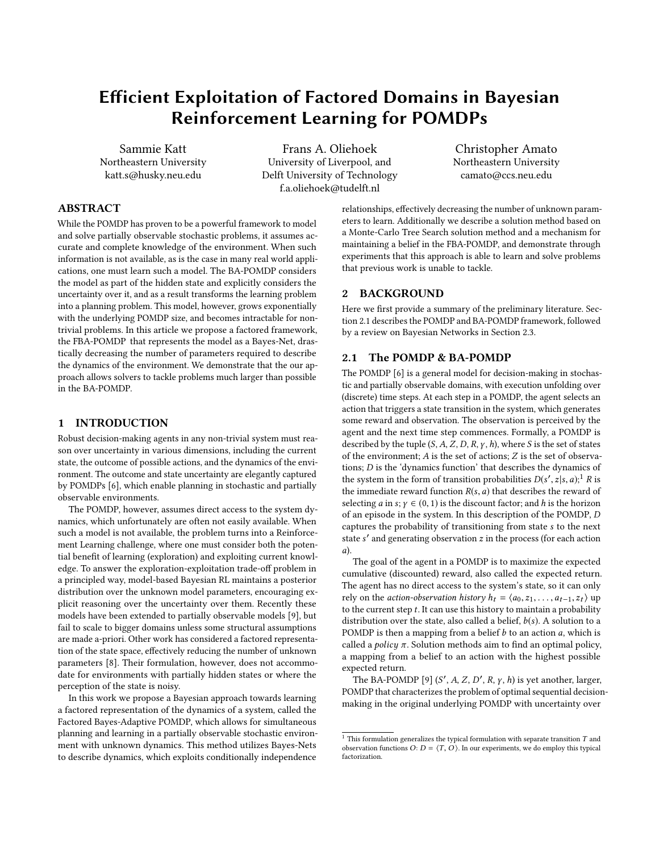# Efficient Exploitation of Factored Domains in Bayesian Reinforcement Learning for POMDPs

Sammie Katt Northeastern University katt.s@husky.neu.edu

Frans A. Oliehoek University of Liverpool, and Delft University of Technology f.a.oliehoek@tudelft.nl

Christopher Amato Northeastern University camato@ccs.neu.edu

## ABSTRACT

While the POMDP has proven to be a powerful framework to model and solve partially observable stochastic problems, it assumes accurate and complete knowledge of the environment. When such information is not available, as is the case in many real world applications, one must learn such a model. The BA-POMDP considers the model as part of the hidden state and explicitly considers the uncertainty over it, and as a result transforms the learning problem into a planning problem. This model, however, grows exponentially with the underlying POMDP size, and becomes intractable for nontrivial problems. In this article we propose a factored framework, the FBA-POMDP that represents the model as a Bayes-Net, drastically decreasing the number of parameters required to describe the dynamics of the environment. We demonstrate that the our approach allows solvers to tackle problems much larger than possible in the BA-POMDP.

#### 1 INTRODUCTION

Robust decision-making agents in any non-trivial system must reason over uncertainty in various dimensions, including the current state, the outcome of possible actions, and the dynamics of the environment. The outcome and state uncertainty are elegantly captured by POMDPs [\[6\]](#page-5-0), which enable planning in stochastic and partially observable environments.

The POMDP, however, assumes direct access to the system dynamics, which unfortunately are often not easily available. When such a model is not available, the problem turns into a Reinforcement Learning challenge, where one must consider both the potential benefit of learning (exploration) and exploiting current knowledge. To answer the exploration-exploitation trade-off problem in a principled way, model-based Bayesian RL maintains a posterior distribution over the unknown model parameters, encouraging explicit reasoning over the uncertainty over them. Recently these models have been extended to partially observable models [\[9\]](#page-5-1), but fail to scale to bigger domains unless some structural assumptions are made a-priori. Other work has considered a factored representation of the state space, effectively reducing the number of unknown parameters [\[8\]](#page-5-2). Their formulation, however, does not accommodate for environments with partially hidden states or where the perception of the state is noisy.

In this work we propose a Bayesian approach towards learning a factored representation of the dynamics of a system, called the Factored Bayes-Adaptive POMDP, which allows for simultaneous planning and learning in a partially observable stochastic environment with unknown dynamics. This method utilizes Bayes-Nets to describe dynamics, which exploits conditionally independence

relationships, effectively decreasing the number of unknown parameters to learn. Additionally we describe a solution method based on a Monte-Carlo Tree Search solution method and a mechanism for maintaining a belief in the FBA-POMDP, and demonstrate through experiments that this approach is able to learn and solve problems that previous work is unable to tackle.

## 2 BACKGROUND

Here we first provide a summary of the preliminary literature. Section [2.1](#page-0-0) describes the POMDP and BA-POMDP framework, followed by a review on Bayesian Networks in Section [2.3.](#page-2-0)

#### <span id="page-0-0"></span>2.1 The POMDP & BA-POMDP

The POMDP [\[6\]](#page-5-0) is a general model for decision-making in stochastic and partially observable domains, with execution unfolding over (discrete) time steps. At each step in a POMDP, the agent selects an action that triggers a state transition in the system, which generates some reward and observation. The observation is perceived by the agent and the next time step commences. Formally, a POMDP is described by the tuple  $(S, A, Z, D, R, \gamma, h)$ , where S is the set of states of the environment; A is the set of actions; Z is the set of observations; D is the 'dynamics function' that describes the dynamics of the system in the form of transition probabilities  $D(s', z|s, a)$ ;<sup>[1](#page-0-1)</sup> R is the immediate reward function  $R(s, a)$  that describes the reward of selecting *a* in *s*;  $\gamma \in (0, 1)$  is the discount factor; and *h* is the horizon of an episode in the system. In this description of the POMDP, D captures the probability of transitioning from state s to the next state s' and generating observation  $z$  in the process (for each action a).

The goal of the agent in a POMDP is to maximize the expected cumulative (discounted) reward, also called the expected return. The agent has no direct access to the system's state, so it can only rely on the *action-observation history*  $h_t = \langle a_0, z_1, \ldots, a_{t-1}, z_t \rangle$  up to the current step  $t$ . It can use this history to maintain a probability distribution over the state, also called a belief,  $b(s)$ . A solution to a POMDP is then a mapping from a belief  $b$  to an action  $a$ , which is called a *policy*  $\pi$ . Solution methods aim to find an optimal policy, a mapping from a belief to an action with the highest possible expected return.

The BA-POMDP [\[9\]](#page-5-1)  $(S', A, Z, D', R, \gamma, h)$  is yet another, larger,<br>MDP that characterizes the problem of optimal sequential decision POMDP that characterizes the problem of optimal sequential decisionmaking in the original underlying POMDP with uncertainty over

<span id="page-0-1"></span><sup>&</sup>lt;sup>1</sup> This formulation generalizes the typical formulation with separate transition  $T$  and observation functions  $O: D = \langle T, O \rangle$ . In our experiments, we do employ this typical factorization.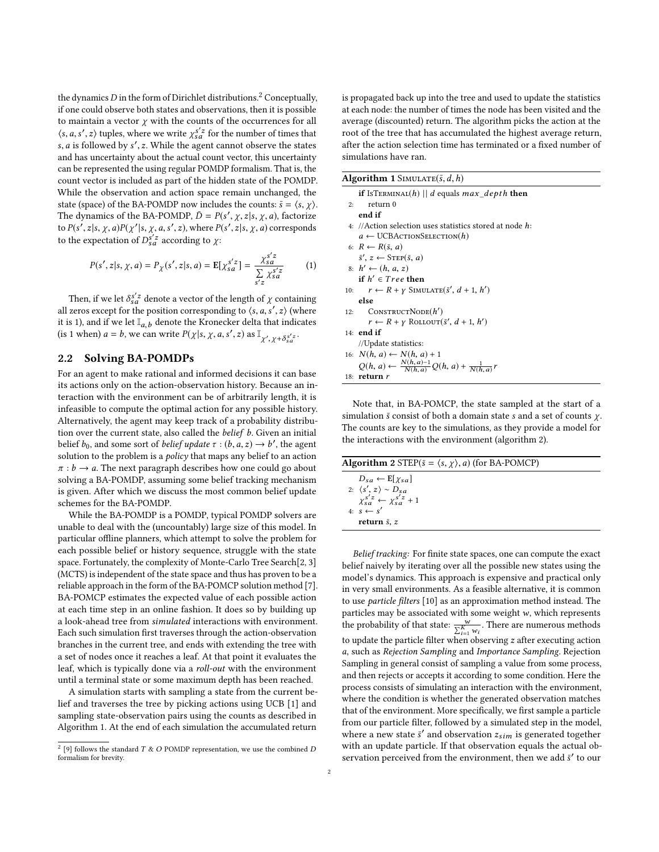the dynamics  $D$  in the form of Dirichlet distributions.<sup>[2](#page-1-0)</sup> Conceptually, if one could observe both states and observations, then it is possible to maintain a vector  $\chi$  with the counts of the occurrences for all  $\langle s, a, s', z \rangle$  tuples, where we write  $\chi_{sa}^{s'z}$  for the number of times that  $s, a$  is followed by  $s' z$ . While the agent cannot observe the states s, *a* is followed by *s'*, *z*. While the agent cannot observe the states and has uncertainty about the actual count vector, this uncertainty can be represented the using regular POMDP formalism. That is, the count vector is included as part of the hidden state of the POMDP. While the observation and action space remain unchanged, the state (space) of the BA-POMDP now includes the counts:  $\bar{s} = \langle s, \chi \rangle$ . The dynamics of the BA-POMDP,  $\bar{D} = P(s', \chi, z | s, \chi, a)$ , factorize<br>to  $P(s', z | s, \chi, a)P(x'| s, \chi, a, s', z)$  where  $P(s', z | s, \chi, a)$  corresponds to  $P(s', z|s, \chi, a)P(\chi'|s, \chi, a, s', z)$ , where  $P(s', z|s, \chi, a)$  corresponds<br>to the expectation of  $D^{s'z}$  according to  $\chi$ . to the expectation of  $D_{sa}^{s'z}$  according to  $\chi$ :

$$
P(s', z | s, \chi, a) = P_{\chi}(s', z | s, a) = \mathbb{E}[\chi_{sa}^{s'z}] = \frac{\chi_{sa}^{s'z}}{\sum\limits_{s'z} \chi_{sa}^{s'z}} \tag{1}
$$

Then, if we let  $\delta_{sa}^{s'z}$  denote a vector of the length of  $\chi$  containing<br>zeros except for the position corresponding to  $\langle s, a, s' \rangle$  (where all zeros except for the position corresponding to  $\langle s, a, s', z \rangle$  (where it is 1) and if we let  $\mathbb{I}$  , denote the Kronecker delta that indicates it is 1), and if we let  $\mathbb{I}_{a,b}$  denote the Kronecker delta that indicates<br>(is 1 when)  $a = b$  we can write  $P(x|s, x, a, s', z)$  as  $\mathbb{I}_{a,b}$ (is 1 when)  $a = b$ , we can write  $P(\chi | s, \chi, a, s', z)$  as  $\mathbb{I}_{\chi', \chi + \delta_{sa}^{s'z}}$ .

#### <span id="page-1-3"></span>2.2 Solving BA-POMDPs

For an agent to make rational and informed decisions it can base its actions only on the action-observation history. Because an interaction with the environment can be of arbitrarily length, it is infeasible to compute the optimal action for any possible history. Alternatively, the agent may keep track of a probability distribution over the current state, also called the *belief*  $b$ . Given an initial belief  $b_0$ , and some sort of *belief update*  $\tau : (b, a, z) \to b'$ , the agent solution to the problem is a *policy* that maps any belief to an action solution to the problem is a *policy* that maps any belief to an action  $\pi : b \to a$ . The next paragraph describes how one could go about solving a BA-POMDP, assuming some belief tracking mechanism is given. After which we discuss the most common belief update schemes for the BA-POMDP.

While the BA-POMDP is a POMDP, typical POMDP solvers are unable to deal with the (uncountably) large size of this model. In particular offline planners, which attempt to solve the problem for each possible belief or history sequence, struggle with the state space. Fortunately, the complexity of Monte-Carlo Tree Search[\[2,](#page-5-3) [3\]](#page-5-4) (MCTS) is independent of the state space and thus has proven to be a reliable approach in the form of the BA-POMCP solution method [\[7\]](#page-5-5). BA-POMCP estimates the expected value of each possible action at each time step in an online fashion. It does so by building up a look-ahead tree from simulated interactions with environment. Each such simulation first traverses through the action-observation branches in the current tree, and ends with extending the tree with a set of nodes once it reaches a leaf. At that point it evaluates the leaf, which is typically done via a roll-out with the environment until a terminal state or some maximum depth has been reached.

A simulation starts with sampling a state from the current belief and traverses the tree by picking actions using UCB [\[1\]](#page-5-6) and sampling state-observation pairs using the counts as described in Algorithm [1.](#page-1-1) At the end of each simulation the accumulated return is propagated back up into the tree and used to update the statistics at each node: the number of times the node has been visited and the average (discounted) return. The algorithm picks the action at the root of the tree that has accumulated the highest average return, after the action selection time has terminated or a fixed number of simulations have ran.

<span id="page-1-1"></span>Algorithm 1 SIMULATE $(\bar{s}, d, h)$ 

|    | <b>if</b> IsTERMINAL(h)   d equals max depth then                            |
|----|------------------------------------------------------------------------------|
| 2: | return 0                                                                     |
|    | end if                                                                       |
|    | 4: //Action selection uses statistics stored at node $h$ :                   |
|    | $a \leftarrow \text{UCBACTIONSELECTION}(h)$                                  |
|    | 6: $R \leftarrow R(\bar{s}, a)$                                              |
|    | $\bar{s}'$ , $z \leftarrow$ STEP( $\bar{s}$ , a)                             |
|    | 8: $h' \leftarrow (h, a, z)$                                                 |
|    | if $h' \in Tree$ then                                                        |
|    | 10: $r \leftarrow R + \gamma$ SIMULATE( $\bar{s}'$ , $d + 1$ , $h'$ )        |
|    | else                                                                         |
|    | 12: $ConstructorNode(h')$                                                    |
|    | $r \leftarrow R + \gamma$ ROLLOUT( $\bar{s}'$ , $d + 1$ , $h'$ )             |
|    | 14: <b>end if</b>                                                            |
|    | //Update statistics:                                                         |
|    | 16: $N(h, a) \leftarrow N(h, a) + 1$                                         |
|    | $Q(h, a) \leftarrow \frac{N(h, a)-1}{N(h, a)} Q(h, a) + \frac{1}{N(h, a)} r$ |
|    | 18: <b>return</b> <i>r</i>                                                   |
|    |                                                                              |

Note that, in BA-POMCP, the state sampled at the start of a simulation  $\bar{s}$  consist of both a domain state s and a set of counts  $\chi$ . The counts are key to the simulations, as they provide a model for the interactions with the environment (algorithm [2\)](#page-1-2).

<span id="page-1-2"></span>

| <b>Algorithm 2</b> STEP( $\bar{s} = \langle s, \gamma \rangle$ , a) (for BA-POMCP) |  |
|------------------------------------------------------------------------------------|--|
| $D_{sa} \leftarrow E[\chi_{sa}]$                                                   |  |
| 2: $\langle s', z \rangle \sim D_{sa}$                                             |  |
| $\chi_{sa}^{s'z} \leftarrow \chi_{sa}^{s'z} + 1$                                   |  |
| 4: $s \leftarrow s'$                                                               |  |
| return $\bar{s}$ , $z$                                                             |  |

Belief tracking: For finite state spaces, one can compute the exact belief naively by iterating over all the possible new states using the model's dynamics. This approach is expensive and practical only in very small environments. As a feasible alternative, it is common to use particle filters [\[10\]](#page-5-7) as an approximation method instead. The particles may be associated with some weight w, which represents the probability of that state:  $\frac{w}{\sum_{i=1}^{K} w_i}$ <br>to undate the particle filter when ob . There are numerous methods to update the particle filter when observing z after executing action a, such as Rejection Sampling and Importance Sampling. Rejection Sampling in general consist of sampling a value from some process, and then rejects or accepts it according to some condition. Here the process consists of simulating an interaction with the environment, where the condition is whether the generated observation matches that of the environment. More specifically, we first sample a particle from our particle filter, followed by a simulated step in the model, where a new state  $\bar{s}'$  and observation  $z_{sim}$  is generated together with an undate particle. If that observation equals the actual obwith an update particle. If that observation equals the actual observation perceived from the environment, then we add  $\bar{s}'$  to our

<span id="page-1-0"></span><sup>&</sup>lt;sup>2</sup> [\[9\]](#page-5-1) follows the standard *T* & *O* POMDP representation, we use the combined *D* formalism for brevity formalism for brevity.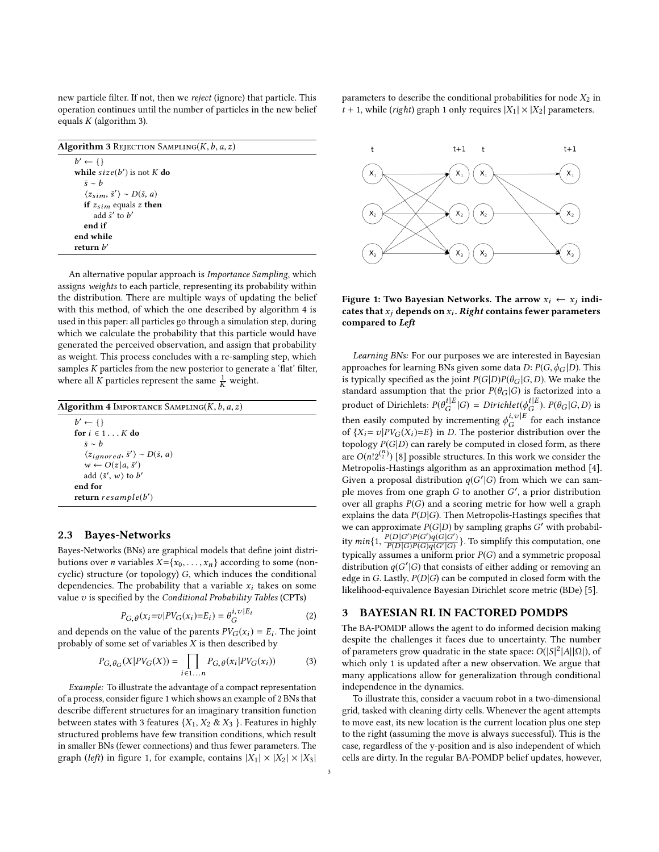new particle filter. If not, then we reject (ignore) that particle. This operation continues until the number of particles in the new belief equals  $K$  (algorithm [3\)](#page-2-1).

<span id="page-2-4"></span><span id="page-2-1"></span>

| <b>Algorithm 3 REJECTION SAMPLING(K, b, a, z)</b>          |  |
|------------------------------------------------------------|--|
| $b' \leftarrow \{\}$                                       |  |
| while $size(b')$ is not K do                               |  |
| $\bar{s} \sim h$                                           |  |
| $\langle z_{\rm sim}, \bar{s}' \rangle \sim D(\bar{s}, a)$ |  |
| if $z_{sim}$ equals z then                                 |  |
| add $\bar{s}'$ to $b'$                                     |  |
| end if                                                     |  |
| end while                                                  |  |
| return $b'$                                                |  |

An alternative popular approach is Importance Sampling, which assigns weights to each particle, representing its probability within the distribution. There are multiple ways of updating the belief with this method, of which the one described by algorithm [4](#page-2-2) is used in this paper: all particles go through a simulation step, during which we calculate the probability that this particle would have generated the perceived observation, and assign that probability as weight. This process concludes with a re-sampling step, which samples K particles from the new posterior to generate a 'flat' filter, where all K particles represent the same  $\frac{1}{K}$  weight.

<span id="page-2-6"></span><span id="page-2-5"></span><span id="page-2-2"></span>

| <b>Algorithm 4</b> IMPORTANCE SAMPLING( $K$ , $b$ , $a$ , $z$ )      |  |
|----------------------------------------------------------------------|--|
| $b' \leftarrow \{\}$                                                 |  |
| for $i \in 1K$ do                                                    |  |
| $\bar{s} \sim b$                                                     |  |
| $\langle z_{ignored}, \overline{s}' \rangle \sim D(\overline{s}, a)$ |  |
| $w \leftarrow O(z a, \bar{s}')$                                      |  |
| add $\langle \bar{s}', w \rangle$ to b'                              |  |
| end for                                                              |  |
| return $resample(b')$                                                |  |
|                                                                      |  |

#### <span id="page-2-0"></span>2.3 Bayes-Networks

Bayes-Networks (BNs) are graphical models that define joint distributions over *n* variables  $X = \{x_0, \ldots, x_n\}$  according to some (noncyclic) structure (or topology) G, which induces the conditional dependencies. The probability that a variable  $x_i$  takes on some value  $v$  is specified by the Conditional Probability Tables (CPTs)

$$
P_{G,\theta}(x_i = v)P V_G(x_i) = E_i) = \theta_G^{i,v|E_i}
$$
 (2)

and depends on the value of the parents  $PV_G(x_i) = E_i$ . The joint<br>probably of some set of variables Y is then described by probably of some set of variables  $X$  is then described by

$$
P_{G,\theta_G}(X|PV_G(X)) = \prod_{i \in 1...n} P_{G,\theta}(x_i|PV_G(x_i))
$$
 (3)

Example: To illustrate the advantage of a compact representation of a process, consider figure [1](#page-2-3) which shows an example of 2 BNs that describe different structures for an imaginary transition function between states with 3 features  $\{X_1, X_2 \& X_3\}$ . Features in highly structured problems have few transition conditions, which result in smaller BNs (fewer connections) and thus fewer parameters. The graph (left) in figure [1,](#page-2-3) for example, contains  $|X_1| \times |X_2| \times |X_3|$  parameters to describe the conditional probabilities for node  $X_2$  in  $t + 1$  $t + 1$ , while (right) graph 1 only requires  $|X_1| \times |X_2|$  parameters.

<span id="page-2-3"></span>

Figure 1: Two Bayesian Networks. The arrow  $x_i \leftarrow x_j$  indicates that  $x_j$  depends on  $x_i$ . Right contains fewer parameters<br>compared to Left compared to Left

Learning BNs: For our purposes we are interested in Bayesian approaches for learning BNs given some data  $D: P(G, \phi_G | D)$ . This is typically specified as the joint  $P(G|D)P(\theta_G|G,D)$ . We make the standard assumption that the prior  $P(\theta_G | G)$  is factorized into a product of Dirichlets:  $P(\theta_G^{i|E}|G) = Dirichlet(\phi_G^{i|E})$ .  $P(\theta_G|G, D)$  is then easily computed by incrementing  $\phi_G^{i, v|E}$  of  $f(X) = v|pV_G(Y) - E$  in D. The posterior distri <sub>)r</sub> for each instance of  $\{X_i = v|PV_G(X_i)=E\}$  in D. The posterior distribution over the topology  $P(G|D)$  can rarely be computed in closed form as there topology  $P(G|D)$  can rarely be computed in closed form, as there are  $O(n!2^{n \choose 2})$  [\[8\]](#page-5-2) possible structures. In this work we consider the Matropolis-Hastings algorithm as an approximation method [4] Metropolis-Hastings algorithm as an approximation method [\[4\]](#page-5-8). Given a proposal distribution  $q(G'|G)$  from which we can sam-<br>ple moves from one graph G to another  $G'$  a prior distribution ple moves from one graph G to another  $G'$ , a prior distribution<br>over all graphs  $P(G)$  and a scoring metric for bow well a graph over all graphs  $P(G)$  and a scoring metric for how well a graph explains the data  $P(D|G)$ . Then Metropolis-Hastings specifies that we can approximate  $P(G|D)$  by sampling graphs  $G'$  with probability  $min\{1, \frac{P(D|G')P(G')Q(G|G')}{P(D|G)P(G)q(G'|G)}\}$ . To simplify this computation, one typically assumes a uniform prior  $P(G)$  and a symmetric proposal distribution  $q(G'|G)$  that consists of either adding or removing an edge in  $G$ . Lastly,  $P(D|G)$  can be computed in closed form with the edge in G. Lastly,  $P(D|G)$  can be computed in closed form with the likelihood-equivalence Bayesian Dirichlet score metric (BDe) [\[5\]](#page-5-9).

#### 3 BAYESIAN RL IN FACTORED POMDPS

The BA-POMDP allows the agent to do informed decision making despite the challenges it faces due to uncertainty. The number of parameters grow quadratic in the state space:  $O(|S|^2|A||\Omega|)$ , of which only 1 is undated after a new observation. We argue that which only 1 is updated after a new observation. We argue that many applications allow for generalization through conditional independence in the dynamics.

To illustrate this, consider a vacuum robot in a two-dimensional grid, tasked with cleaning dirty cells. Whenever the agent attempts to move east, its new location is the current location plus one step to the right (assuming the move is always successful). This is the case, regardless of the y-position and is also independent of which cells are dirty. In the regular BA-POMDP belief updates, however,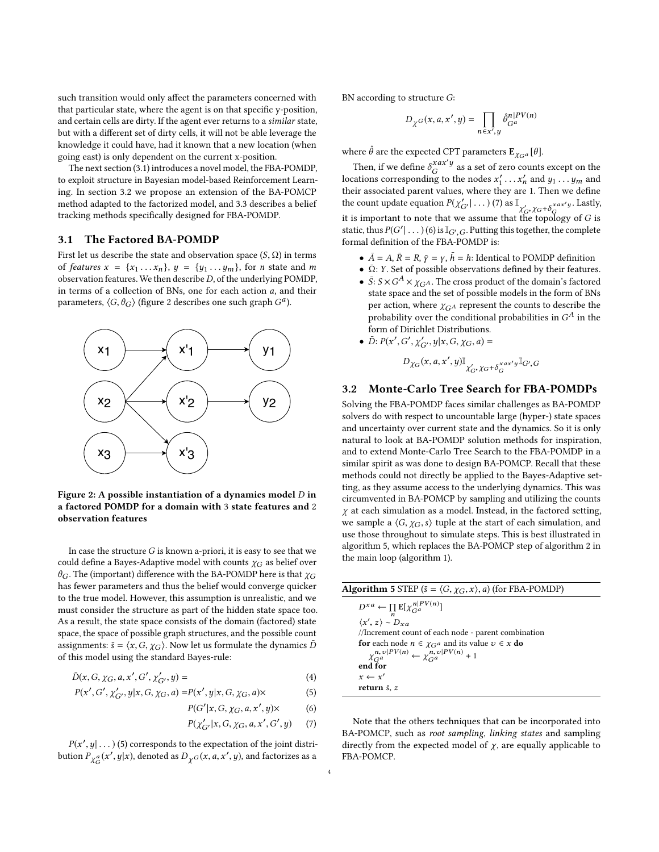such transition would only affect the parameters concerned with that particular state, where the agent is on that specific y-position, and certain cells are dirty. If the agent ever returns to a similar state, but with a different set of dirty cells, it will not be able leverage the knowledge it could have, had it known that a new location (when going east) is only dependent on the current x-position.

The next section [\(3.1\)](#page-3-0) introduces a novel model, the FBA-POMDP, to exploit structure in Bayesian model-based Reinforcement Learning. In section [3.2](#page-3-1) we propose an extension of the BA-POMCP method adapted to the factorized model, and [3.3](#page-4-0) describes a belief tracking methods specifically designed for FBA-POMDP.

#### <span id="page-3-0"></span>3.1 The Factored BA-POMDP

First let us describe the state and observation space  $(S, \Omega)$  in terms of features  $x = \{x_1 \ldots x_n\}$ ,  $y = \{y_1 \ldots y_m\}$ , for *n* state and *m* observation features. We then describe  $D$ , of the underlying POMDP, in terms of a collection of BNs, one for each action a, and their parameters,  $\langle G, \theta_G \rangle$  (figure [2](#page-3-2) describes one such graph  $G^a$ ).

<span id="page-3-2"></span>

Figure 2: A possible instantiation of a dynamics model  $D$  in a factored POMDP for a domain with 3 state features and 2 observation features

In case the structure  $G$  is known a-priori, it is easy to see that we could define a Bayes-Adaptive model with counts  $\chi_G$  as belief over  $\theta_G$ . The (important) difference with the BA-POMDP here is that  $\chi_G$ has fewer parameters and thus the belief would converge quicker to the true model. However, this assumption is unrealistic, and we must consider the structure as part of the hidden state space too. As a result, the state space consists of the domain (factored) state space, the space of possible graph structures, and the possible count assignments:  $\bar{s} = \langle x, G, \chi_G \rangle$ . Now let us formulate the dynamics  $\bar{D}$ of this model using the standard Bayes-rule:

$$
\bar{D}(x, G, \chi_G, a, x', G', \chi'_{G'}, y) =
$$
\n(4)  
\n
$$
D(x', G', x', y|x, G, x, a) = D(x', y|x, G, x, a) \times (5)
$$

$$
P(x', G', \chi'_{G'}, y | x, G, \chi_G, a) = P(x', y | x, G, \chi_G, a) \times \tag{5}
$$

$$
P(G'|x, G, \chi_G, a, x', y) \times \tag{6}
$$
  

$$
P(x'|x, G, \chi_G, a, x', C', y) \times \tag{7}
$$

$$
P(\chi'_{G'}|x, G, \chi_G, a, x', G', y) \qquad (7)
$$

 $P(x', y | \dots)$  [\(5\)](#page-3-3) corresponds to the expectation of the joint distri-<br>tion  $P_{\alpha}(x', y|x)$  denoted as  $D_{\alpha}(x, a, x', y)$  and factorizes as a bution  $P_{\chi_G^a}(x',y|x)$ , denoted as  $D_{\chi^G}(x,a,x',y)$ , and factorizes as a

BN according to structure G:

$$
D_{\chi^G}(x, a, x', y) = \prod_{n \in x', y} \hat{\theta}_{G^a}^{n|PV(n)}
$$

where  $\hat{\theta}$  are the expected CPT parameters  $\mathbf{E}_{\chi_{G}a}[\theta].$ 

Then, if we define  $\delta_G^{xax'y}$ ıc as a set of zero counts except on the locations corresponding to the nodes  $x'_1 \dots x'_n$  and  $y_1 \dots y_m$  and their associated parent values, where they are 1. Then we define their associated parent values, where they are 1. Then we define the count update equation  $P(\chi'_{G'} | ...)(7)$  $P(\chi'_{G'} | ...)(7)$  as  $\mathbb{I}_{\chi'_{G}, \chi_{G} + \delta_{G}^{xax'y}}$ . Lastly, it is important to note that we assume that the topology of G is<br>static thus  $P(C'| \to )(\phi)$  is  $\mathbb{E}_{C \to C}$ . Putting this together, the complete static, thus  $P(G' | ...)(6)$  $P(G' | ...)(6)$  is  $\mathbb{I}_{G',G}$ . Putting this together, the complete formal definition of the FRA-POMDP is: formal definition of the FBA-POMDP is:

- $\bar{A} = A$ ,  $\bar{R} = R$ ,  $\bar{y} = \gamma$ ,  $\bar{h} = h$ : Identical to POMDP definition
- $\overline{\Omega}$ : Y. Set of possible observations defined by their features.
- $\bar{S}: S \times G^A \times \chi_{GA}$ . The cross product of the domain's factored state space and the set of possible models in the form of BNs state space and the set of possible models in the form of BNs per action, where  $\chi_{G^A}$  represent the counts to describe the probability over the conditional probabilities in  $G^A$  in the form of Dirichlet Distributions form of Dirichlet Distributions.
- $\bar{D}: P(x')$  $\overline{\phantom{a}}$ ′  $\overline{\ }$  $C'_{G'}$ ,  $y|x, G, \chi_G, a) =$

$$
D_{\chi_G}(x,a,x',y)\mathbb{I}_{\chi_G',\chi_G+\delta_G^{xax'y}}\mathbb{I}_{G',G}
$$

### <span id="page-3-1"></span>3.2 Monte-Carlo Tree Search for FBA-POMDPs

Solving the FBA-POMDP faces similar challenges as BA-POMDP solvers do with respect to uncountable large (hyper-) state spaces and uncertainty over current state and the dynamics. So it is only natural to look at BA-POMDP solution methods for inspiration, and to extend Monte-Carlo Tree Search to the FBA-POMDP in a similar spirit as was done to design BA-POMCP. Recall that these methods could not directly be applied to the Bayes-Adaptive setting, as they assume access to the underlying dynamics. This was circumvented in BA-POMCP by sampling and utilizing the counts  $\chi$  at each simulation as a model. Instead, in the factored setting, we sample a  $\langle G, \chi_G, s \rangle$  tuple at the start of each simulation, and use those throughout to simulate steps. This is best illustrated in algorithm [5,](#page-3-6) which replaces the BA-POMCP step of algorithm [2](#page-1-2) in the main loop (algorithm [1\)](#page-1-1).

<span id="page-3-6"></span>

| <b>Algorithm 5</b> STEP ( $\bar{s} = \langle G, \chi_G, x \rangle$ , a) (for FBA-POMDP)                                                                                                        |
|------------------------------------------------------------------------------------------------------------------------------------------------------------------------------------------------|
| $D^{xa} \leftarrow \prod \mathbb{E}[\chi_{Ga}^{n PV(n)}]$<br>$\langle x', z \rangle \sim D_{xa}$                                                                                               |
| //Increment count of each node - parent combination<br><b>for</b> each node $n \in \chi_{G}$ and its value $v \in x$ <b>do</b><br>$\chi_{Ga}^{n,v PV(n)} \leftarrow \chi_{Ga}^{n,v PV(n)} + 1$ |
| end for                                                                                                                                                                                        |
| $x \leftarrow x'$<br>return $\bar{s}$ , z                                                                                                                                                      |
|                                                                                                                                                                                                |

<span id="page-3-5"></span><span id="page-3-4"></span><span id="page-3-3"></span>Note that the others techniques that can be incorporated into BA-POMCP, such as root sampling, linking states and sampling directly from the expected model of  $\chi$ , are equally applicable to FBA-POMCP.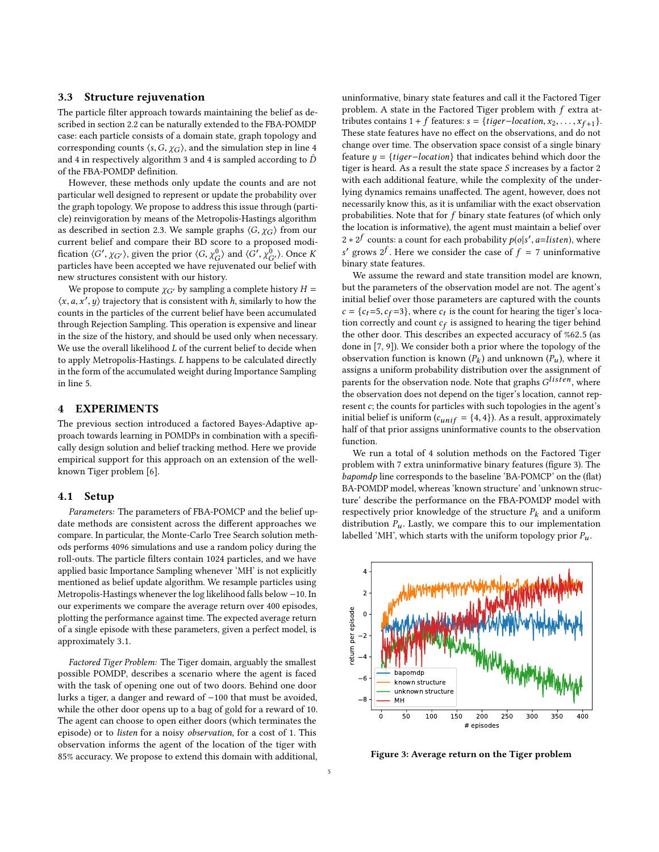#### <span id="page-4-0"></span>3.3 Structure rejuvenation

The particle filter approach towards maintaining the belief as described in section [2.2](#page-1-3) can be naturally extended to the FBA-POMDP case: each particle consists of a domain state, graph topology and corresponding counts  $\langle s, G, \chi_G \rangle$ , and the simulation step in line [4](#page-2-4) and [4](#page-2-2) in respectively algorithm [3](#page-2-1) and 4 is sampled according to  $\bar{D}$ of the FBA-POMDP definition.

However, these methods only update the counts and are not particular well designed to represent or update the probability over the graph topology. We propose to address this issue through (particle) reinvigoration by means of the Metropolis-Hastings algorithm as described in section [2.3.](#page-2-0) We sample graphs  $\langle G, \chi_G \rangle$  from our current belief and compare their BD score to a proposed modification  $\langle G', \chi_{G'} \rangle$ , given the prior  $\langle G, \chi_{G'}^0 \rangle$  and  $\langle G', \chi_{G'}^0 \rangle$ . Once K<br>particles have been accepted we have rejuvenated our belief with  $\sum_{i=1}^{\infty}$  ,  $\sum_{i=1}^{\infty}$  ,  $\sum_{i=1}^{\infty}$  ,  $\sum_{i=1}^{\infty}$  ,  $\sum_{i=1}^{\infty}$  ,  $\sum_{i=1}^{\infty}$  ,  $\sum_{i=1}^{\infty}$  ,  $\sum_{i=1}^{\infty}$  ,  $\sum_{i=1}^{\infty}$  ,  $\sum_{i=1}^{\infty}$  ,  $\sum_{i=1}^{\infty}$  ,  $\sum_{i=1}^{\infty}$  ,  $\sum_{i=1}^{\infty}$  , new structures consistent with our history.

We propose to compute  $\chi_{G'}$  by sampling a complete history  $H =$  $\langle x, a, x', y \rangle$  trajectory that is consistent with h, similarly to how the counts in the particles of the current belief have been accumulated counts in the particles of the current belief have been accumulated through Rejection Sampling. This operation is expensive and linear in the size of the history, and should be used only when necessary. We use the overall likelihood  $L$  of the current belief to decide when to apply Metropolis-Hastings. L happens to be calculated directly in the form of the accumulated weight during Importance Sampling in line [5.](#page-2-6)

#### 4 EXPERIMENTS

The previous section introduced a factored Bayes-Adaptive approach towards learning in POMDPs in combination with a specifically design solution and belief tracking method. Here we provide empirical support for this approach on an extension of the wellknown Tiger problem [\[6\]](#page-5-0).

#### 4.1 Setup

Parameters: The parameters of FBA-POMCP and the belief update methods are consistent across the different approaches we compare. In particular, the Monte-Carlo Tree Search solution methods performs 4096 simulations and use a random policy during the roll-outs. The particle filters contain 1024 particles, and we have applied basic Importance Sampling whenever 'MH' is not explicitly mentioned as belief update algorithm. We resample particles using Metropolis-Hastings whenever the log likelihood falls below −10. In our experiments we compare the average return over 400 episodes, plotting the performance against time. The expected average return of a single episode with these parameters, given a perfect model, is approximately <sup>3</sup>.1.

Factored Tiger Problem: The Tiger domain, arguably the smallest possible POMDP, describes a scenario where the agent is faced with the task of opening one out of two doors. Behind one door lurks a tiger, a danger and reward of −100 that must be avoided, while the other door opens up to a bag of gold for a reward of 10. The agent can choose to open either doors (which terminates the episode) or to listen for a noisy observation, for a cost of 1. This observation informs the agent of the location of the tiger with 85% accuracy. We propose to extend this domain with additional, uninformative, binary state features and call it the Factored Tiger problem. A state in the Factored Tiger problem with f extra attributes contains 1 + f features:  $s = \{tiger-location, x_2, \ldots, x_{f+1}\}.$ <br>These state features have no effect on the observations, and do not These state features have no effect on the observations, and do not change over time. The observation space consist of a single binary feature  $y = \{tiger-location\}$  that indicates behind which door the tiger is heard. As a result the state space  ${\cal S}$  increases by a factor  $2$ with each additional feature, while the complexity of the underlying dynamics remains unaffected. The agent, however, does not necessarily know this, as it is unfamiliar with the exact observation probabilities. Note that for f binary state features (of which only the location is informative), the agent must maintain a belief over 2 ∗ 2<sup>f</sup> counts: a count for each probability  $p(o|s', a=listen)$ , where s binary state features. ' grows  $2^f$ . Here we consider the case of  $f = 7$  uninformative<br>inary state features

We assume the reward and state transition model are known, but the parameters of the observation model are not. The agent's initial belief over those parameters are captured with the counts  $c = \{c_t = 5, c_f = 3\}$ , where  $c_t$  is the count for hearing the tiger's loca-<br>tion correctly and count  $c_c$  is assigned to hearing the tiger behind tion correctly and count  $c_f$  is assigned to hearing the tiger behind<br>the other door. This describes an expected accuracy of %62.5 (as the other door. This describes an expected accuracy of %62.<sup>5</sup> (as done in [\[7,](#page-5-5) [9\]](#page-5-1)). We consider both a prior where the topology of the observation function is known  $(P_k)$  and unknown  $(P_u)$ , where it assignment of assigns a uniform probability distribution over the assignment of parents for the observation node. Note that graphs  $G^{listen}$ , where the observation does not depend on the tiger's location, cannot rep. the observation does not depend on the tiger's location, cannot represent  $c$ ; the counts for particles with such topologies in the agent's initial belief is uniform ( $c_{unif} = \{4, 4\}$ ). As a result, approximately half of that prior assigns uninformative counts to the observation function.

We run a total of 4 solution methods on the Factored Tiger problem with 7 extra uninformative binary features (figure [3\)](#page-4-1). The bapomdp line corresponds to the baseline 'BA-POMCP' on the (flat) BA-POMDP model, whereas 'known structure' and 'unknown structure' describe the performance on the FBA-POMDP model with respectively prior knowledge of the structure  $P_k$  and a uniform distribution  $P_u$ . Lastly, we compare this to our implementation labelled 'MH', which starts with the uniform topology prior  $P_u$ .

<span id="page-4-1"></span>

Figure 3: Average return on the Tiger problem